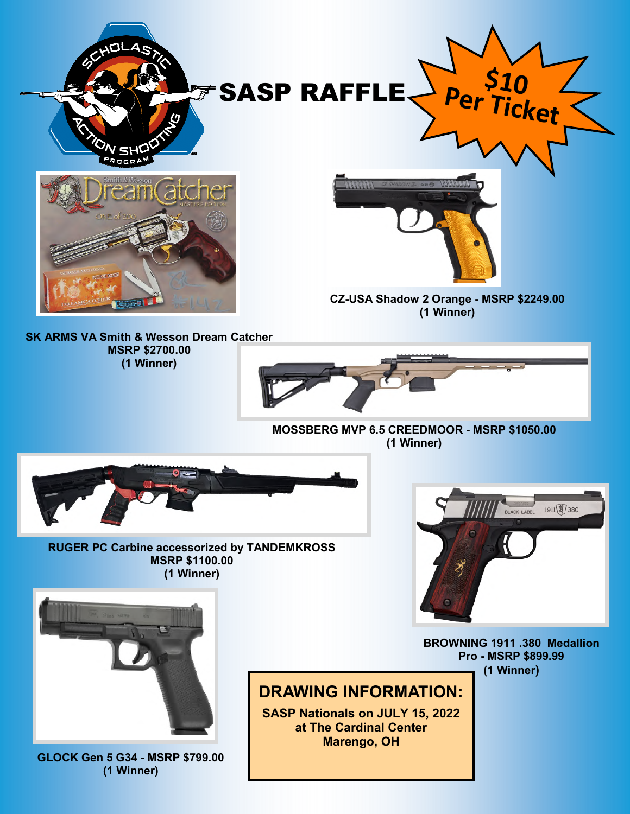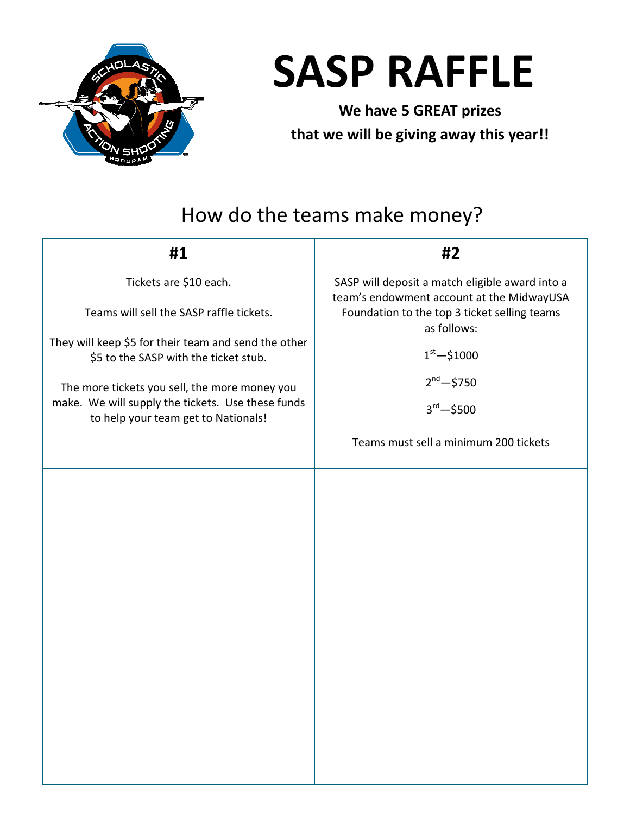

## **SASP RAFFLE**

**We have 5 GREAT prizes that we will be giving away this year!!** 

## How do the teams make money?

| #1                                                                                                                                                                                                                                                                                                               | #2                                                                                                                                                                                                                                                                 |
|------------------------------------------------------------------------------------------------------------------------------------------------------------------------------------------------------------------------------------------------------------------------------------------------------------------|--------------------------------------------------------------------------------------------------------------------------------------------------------------------------------------------------------------------------------------------------------------------|
| Tickets are \$10 each.<br>Teams will sell the SASP raffle tickets.<br>They will keep \$5 for their team and send the other<br>\$5 to the SASP with the ticket stub.<br>The more tickets you sell, the more money you<br>make. We will supply the tickets. Use these funds<br>to help your team get to Nationals! | SASP will deposit a match eligible award into a<br>team's endowment account at the MidwayUSA<br>Foundation to the top 3 ticket selling teams<br>as follows:<br>$1st - $1000$<br>$2^{nd} - $750$<br>$3^{\text{rd}} - $500$<br>Teams must sell a minimum 200 tickets |
|                                                                                                                                                                                                                                                                                                                  |                                                                                                                                                                                                                                                                    |